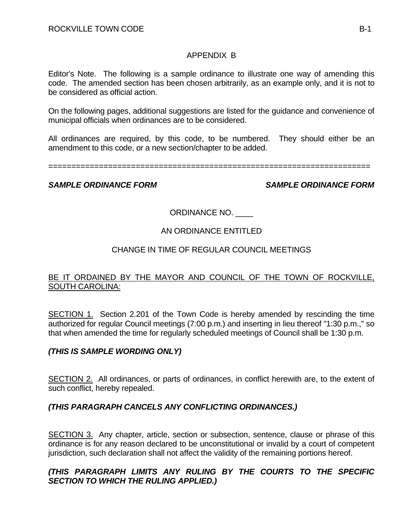## APPENDIX B

Editor's Note. The following is a sample ordinance to illustrate one way of amending this code. The amended section has been chosen arbitrarily, as an example only, and it is not to be considered as official action.

On the following pages, additional suggestions are listed for the guidance and convenience of municipal officials when ordinances are to be considered.

All ordinances are required, by this code, to be numbered. They should either be an amendment to this code, or a new section/chapter to be added.

======================================================================

#### *SAMPLE ORDINANCE FORM SAMPLE ORDINANCE FORM*

## ORDINANCE NO. \_\_\_\_

## AN ORDINANCE ENTITLED

#### CHANGE IN TIME OF REGULAR COUNCIL MEETINGS

#### BE IT ORDAINED BY THE MAYOR AND COUNCIL OF THE TOWN OF ROCKVILLE, SOUTH CAROLINA:

SECTION 1. Section 2.201 of the Town Code is hereby amended by rescinding the time authorized for regular Council meetings (7:00 p.m.) and inserting in lieu thereof "1:30 p.m.," so that when amended the time for regularly scheduled meetings of Council shall be 1:30 p.m.

## *(THIS IS SAMPLE WORDING ONLY)*

SECTION 2. All ordinances, or parts of ordinances, in conflict herewith are, to the extent of such conflict, hereby repealed.

## *(THIS PARAGRAPH CANCELS ANY CONFLICTING ORDINANCES.)*

SECTION 3. Any chapter, article, section or subsection, sentence, clause or phrase of this ordinance is for any reason declared to be unconstitutional or invalid by a court of competent jurisdiction, such declaration shall not affect the validity of the remaining portions hereof.

#### *(THIS PARAGRAPH LIMITS ANY RULING BY THE COURTS TO THE SPECIFIC SECTION TO WHICH THE RULING APPLIED.)*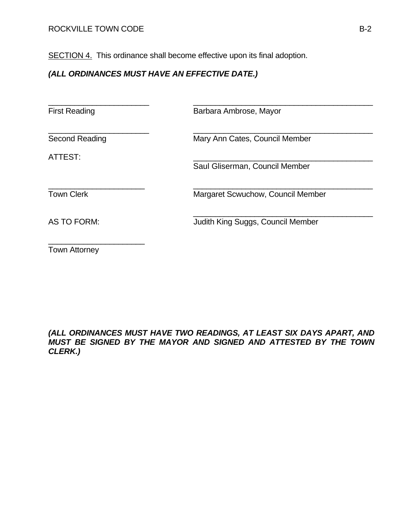SECTION 4. This ordinance shall become effective upon its final adoption.

# *(ALL ORDINANCES MUST HAVE AN EFFECTIVE DATE.)*

First Reading **Barbara Ambrose, Mayor** 

\_\_\_\_\_\_\_\_\_\_\_\_\_\_\_\_\_\_\_\_\_\_\_ \_\_\_\_\_\_\_\_\_\_\_\_\_\_\_\_\_\_\_\_\_\_\_\_\_\_\_\_\_\_\_\_\_\_\_\_\_\_\_\_\_

 $\frac{1}{\sqrt{2}}$  ,  $\frac{1}{\sqrt{2}}$  ,  $\frac{1}{\sqrt{2}}$  ,  $\frac{1}{\sqrt{2}}$  ,  $\frac{1}{\sqrt{2}}$  ,  $\frac{1}{\sqrt{2}}$  ,  $\frac{1}{\sqrt{2}}$  ,  $\frac{1}{\sqrt{2}}$  ,  $\frac{1}{\sqrt{2}}$  ,  $\frac{1}{\sqrt{2}}$  ,  $\frac{1}{\sqrt{2}}$  ,  $\frac{1}{\sqrt{2}}$  ,  $\frac{1}{\sqrt{2}}$  ,  $\frac{1}{\sqrt{2}}$  ,  $\frac{1}{\sqrt{2}}$ 

\_\_\_\_\_\_\_\_\_\_\_\_\_\_\_\_\_\_\_\_\_\_\_ \_\_\_\_\_\_\_\_\_\_\_\_\_\_\_\_\_\_\_\_\_\_\_\_\_\_\_\_\_\_\_\_\_\_\_\_\_\_\_\_\_

Second Reading Mary Ann Cates, Council Member

ATTEST: \_\_\_\_\_\_\_\_\_\_\_\_\_\_\_\_\_\_\_\_\_\_\_\_\_\_\_\_\_\_\_\_\_\_\_\_\_\_\_\_\_

Saul Gliserman, Council Member

\_\_\_\_\_\_\_\_\_\_\_\_\_\_\_\_\_\_\_\_\_\_ \_\_\_\_\_\_\_\_\_\_\_\_\_\_\_\_\_\_\_\_\_\_\_\_\_\_\_\_\_\_\_\_\_\_\_\_\_\_\_\_\_ Town Clerk **Margaret Scwuchow, Council Member** 

AS TO FORM: **In the Supplement Council Member** Judith King Suggs, Council Member

\_\_\_\_\_\_\_\_\_\_\_\_\_\_\_\_\_\_\_\_\_\_ Town Attorney

#### *(ALL ORDINANCES MUST HAVE TWO READINGS, AT LEAST SIX DAYS APART, AND MUST BE SIGNED BY THE MAYOR AND SIGNED AND ATTESTED BY THE TOWN CLERK.)*